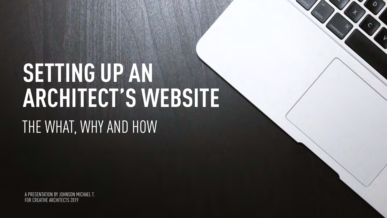## **SETTING UP AN ARCHITECT'S WEBSITE** THE WHAT, WHY AND HOW

A PRESENTATION BY JOHNSON MICHAEL T. FOR CREATIVE ARCHITECTS 2019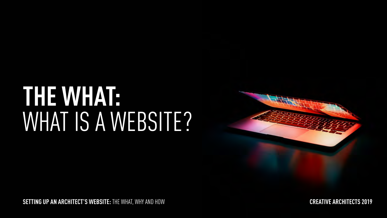## **THE WHAT:** WHAT IS A WEBSITE?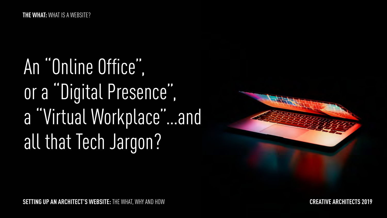An "Online Office", or a "Digital Presence", a "Virtual Workplace"…and all that Tech Jargon?

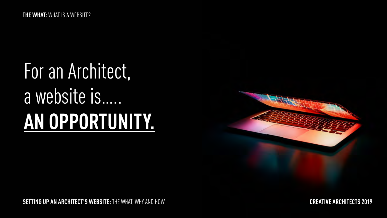## For an Architect, a website is….. **AN OPPORTUNITY.**

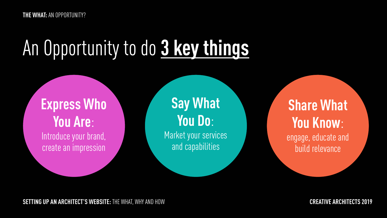## An Opportunity to do **3 key things**

**Express Who You Are**: Introduce your brand, create an impression

**Say What You Do**:

Market your services and capabilities

**Share What You Know**: engage, educate and build relevance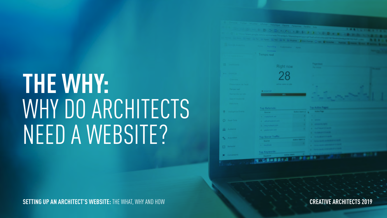## **THE WHY:** WHY DO ARCHITECTS NEED A WEBSITE?

| a contratto in the first of the property of the forms of the Chevrolet.<br>22 Google Analytics<br><b>Ame Reporting Committee Admin</b><br>Temps reel<br><b><i>Pagement</i></b><br><b>III</b> Destboards<br>Right now<br><b>College College</b><br>28<br><b>Him Shortsuis</b><br>Overview.<br>Prresentation de l'audi<br>active users on site<br>Terros reel<br><b>B</b> DESKTOP<br>Recoverdos sur site<br>the control of the control of the control of<br>٠<br>Search keywords<br>Réfrottore :<br><b>Tage Auditors Tragers</b><br><b>Top Referrals:</b><br><b>C</b> Impligation Events<br><b><i><u>Allen Time</u></i></b><br>Autor Start & Ca.<br>Source<br>1. Police South Ave.<br>. .<br>C Real-Time<br>2. I all all seniori and<br><b>STATISTICS</b><br>3. Like Independent<br><b>A CONTRACT CARD</b><br><b>SALE Audience</b><br><b>A. I good to sure your</b><br><b><i>Charles All Committee Avenue All Committee Avenue Avenue Avenue Avenue Avenue Avenue Avenue Avenue Avenue Avenue Avenue Avenue Avenue Avenue Avenue Avenue Avenue Avenue Avenue Avenue Avenue Avenue Avenue Avenue Avenue Av</i></b><br><b>Top Social Traffic</b><br><b><i><u>CARD COMPANY</u></i></b><br><b>LA Acquisition</b><br><b>College Class Ford</b><br><b>Source</b><br><b>C. Harry Country</b> | The Interval www.google.com/analytics/web/7hisendolis1 fame 3 x | <b>SECURITIES OF BUILDINGS AND ALL ASSESSED AT A STATE OF BUILDINGS</b> | <b>LES 24 100</b> |
|-------------------------------------------------------------------------------------------------------------------------------------------------------------------------------------------------------------------------------------------------------------------------------------------------------------------------------------------------------------------------------------------------------------------------------------------------------------------------------------------------------------------------------------------------------------------------------------------------------------------------------------------------------------------------------------------------------------------------------------------------------------------------------------------------------------------------------------------------------------------------------------------------------------------------------------------------------------------------------------------------------------------------------------------------------------------------------------------------------------------------------------------------------------------------------------------------------------------------------------------------------------------------------------|-----------------------------------------------------------------|-------------------------------------------------------------------------|-------------------|
|                                                                                                                                                                                                                                                                                                                                                                                                                                                                                                                                                                                                                                                                                                                                                                                                                                                                                                                                                                                                                                                                                                                                                                                                                                                                                     |                                                                 |                                                                         |                   |
|                                                                                                                                                                                                                                                                                                                                                                                                                                                                                                                                                                                                                                                                                                                                                                                                                                                                                                                                                                                                                                                                                                                                                                                                                                                                                     |                                                                 |                                                                         |                   |
|                                                                                                                                                                                                                                                                                                                                                                                                                                                                                                                                                                                                                                                                                                                                                                                                                                                                                                                                                                                                                                                                                                                                                                                                                                                                                     |                                                                 |                                                                         |                   |
|                                                                                                                                                                                                                                                                                                                                                                                                                                                                                                                                                                                                                                                                                                                                                                                                                                                                                                                                                                                                                                                                                                                                                                                                                                                                                     |                                                                 |                                                                         |                   |
|                                                                                                                                                                                                                                                                                                                                                                                                                                                                                                                                                                                                                                                                                                                                                                                                                                                                                                                                                                                                                                                                                                                                                                                                                                                                                     |                                                                 |                                                                         |                   |
|                                                                                                                                                                                                                                                                                                                                                                                                                                                                                                                                                                                                                                                                                                                                                                                                                                                                                                                                                                                                                                                                                                                                                                                                                                                                                     |                                                                 |                                                                         |                   |
|                                                                                                                                                                                                                                                                                                                                                                                                                                                                                                                                                                                                                                                                                                                                                                                                                                                                                                                                                                                                                                                                                                                                                                                                                                                                                     |                                                                 |                                                                         |                   |
|                                                                                                                                                                                                                                                                                                                                                                                                                                                                                                                                                                                                                                                                                                                                                                                                                                                                                                                                                                                                                                                                                                                                                                                                                                                                                     |                                                                 |                                                                         |                   |
|                                                                                                                                                                                                                                                                                                                                                                                                                                                                                                                                                                                                                                                                                                                                                                                                                                                                                                                                                                                                                                                                                                                                                                                                                                                                                     |                                                                 |                                                                         |                   |
|                                                                                                                                                                                                                                                                                                                                                                                                                                                                                                                                                                                                                                                                                                                                                                                                                                                                                                                                                                                                                                                                                                                                                                                                                                                                                     |                                                                 |                                                                         |                   |
|                                                                                                                                                                                                                                                                                                                                                                                                                                                                                                                                                                                                                                                                                                                                                                                                                                                                                                                                                                                                                                                                                                                                                                                                                                                                                     |                                                                 |                                                                         |                   |
|                                                                                                                                                                                                                                                                                                                                                                                                                                                                                                                                                                                                                                                                                                                                                                                                                                                                                                                                                                                                                                                                                                                                                                                                                                                                                     |                                                                 |                                                                         |                   |
|                                                                                                                                                                                                                                                                                                                                                                                                                                                                                                                                                                                                                                                                                                                                                                                                                                                                                                                                                                                                                                                                                                                                                                                                                                                                                     |                                                                 |                                                                         |                   |
|                                                                                                                                                                                                                                                                                                                                                                                                                                                                                                                                                                                                                                                                                                                                                                                                                                                                                                                                                                                                                                                                                                                                                                                                                                                                                     |                                                                 |                                                                         |                   |
|                                                                                                                                                                                                                                                                                                                                                                                                                                                                                                                                                                                                                                                                                                                                                                                                                                                                                                                                                                                                                                                                                                                                                                                                                                                                                     |                                                                 |                                                                         |                   |
|                                                                                                                                                                                                                                                                                                                                                                                                                                                                                                                                                                                                                                                                                                                                                                                                                                                                                                                                                                                                                                                                                                                                                                                                                                                                                     |                                                                 |                                                                         |                   |
|                                                                                                                                                                                                                                                                                                                                                                                                                                                                                                                                                                                                                                                                                                                                                                                                                                                                                                                                                                                                                                                                                                                                                                                                                                                                                     |                                                                 |                                                                         |                   |
|                                                                                                                                                                                                                                                                                                                                                                                                                                                                                                                                                                                                                                                                                                                                                                                                                                                                                                                                                                                                                                                                                                                                                                                                                                                                                     |                                                                 |                                                                         |                   |
|                                                                                                                                                                                                                                                                                                                                                                                                                                                                                                                                                                                                                                                                                                                                                                                                                                                                                                                                                                                                                                                                                                                                                                                                                                                                                     |                                                                 |                                                                         |                   |
| Behavior<br>日                                                                                                                                                                                                                                                                                                                                                                                                                                                                                                                                                                                                                                                                                                                                                                                                                                                                                                                                                                                                                                                                                                                                                                                                                                                                       |                                                                 |                                                                         |                   |
| Top Keywords<br><b>School Street</b><br>Conversions                                                                                                                                                                                                                                                                                                                                                                                                                                                                                                                                                                                                                                                                                                                                                                                                                                                                                                                                                                                                                                                                                                                                                                                                                                 |                                                                 |                                                                         |                   |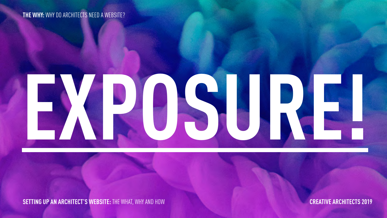**THE WHY:** WHY DO ARCHITECTS NEED A WEBSITE?

# **EXPOSURE!**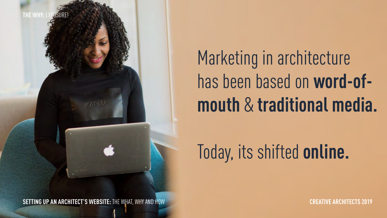

**SETTING UP AN ARCHITECT'S WEBSITE:** THE WHAT, WHY AND HOW **CREATIVE ARCHITECTS 2019**

Marketing in architecture has been based on **word-ofmouth** & **traditional media.**

## Today, its shifted **online.**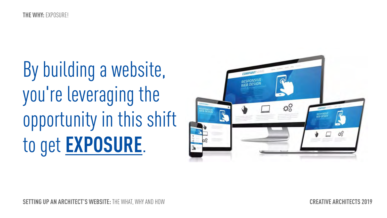By building a website, you're leveraging the opportunity in this shift to get **EXPOSURE**.

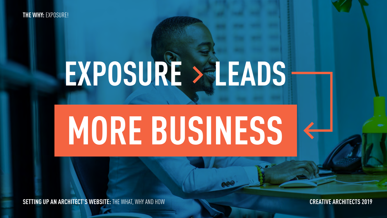**THE WHY:** EXPOSURE!

## **EXPOSURE > LEADS**

## **MORE BUSINESS**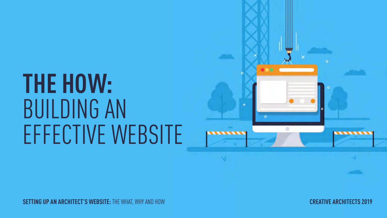## **THE HOW:** BUILDING AN EFFECTIVE WEBSITE

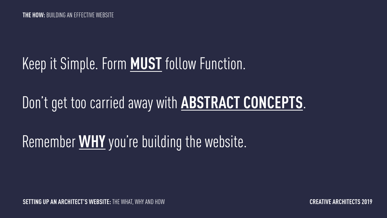## Keep it Simple. Form **MUST** follow Function.

## Don't get too carried away with **ABSTRACT CONCEPTS**.

## Remember **WHY** you're building the website.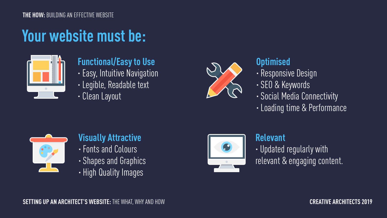## **Your website must be:**



## **Functional/Easy to Use**

- · Easy, Intuitive Navigation
- · Legible, Readable text
- · Clean Layout



#### **Optimised**

- · Responsive Design
- · SEO & Keywords
- · Social Media Connectivity
- · Loading time & Performance



#### **Visually Attractive** · Fonts and Colours

- · Shapes and Graphics
- · High Quality Images



#### **Relevant**  · Updated regularly with relevant & engaging content.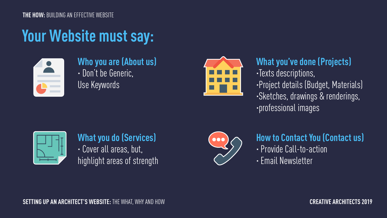#### **THE HOW:** BUILDING AN EFFECTIVE WEBSITE

## **Your Website must say:**



#### **Who you are (About us)** · Don't be Generic, Use Keywords



#### **What you've done (Projects)**  · Texts descriptions, · Project details (Budget, Materials) · Sketches, drawings & renderings, · professional images



#### **What you do (Services)** · Cover all areas, but, highlight areas of strength



#### **How to Contact You (Contact us)** · Provide Call-to-action

· Email Newsletter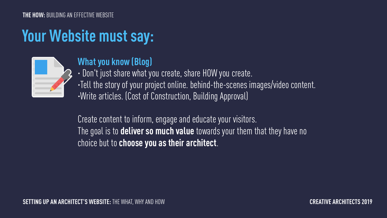## **Your Website must say:**



#### **What you know (Blog)**

· Don't just share what you create, share HOW you create.

·Tell the story of your project online. behind-the-scenes images/video content. ·Write articles. (Cost of Construction, Building Approval)

Create content to inform, engage and educate your visitors. The goal is to **deliver so much value** towards your them that they have no choice but to **choose you as their architect**.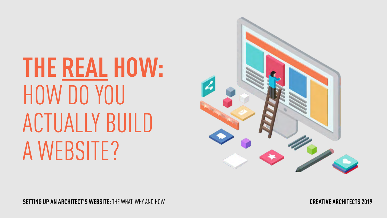**THE REAL HOW:** HOW DO YOU ACTUALLY BUILD A WEBSITE?

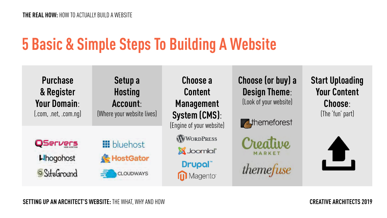## **5 Basic & Simple Steps To Building A Website**

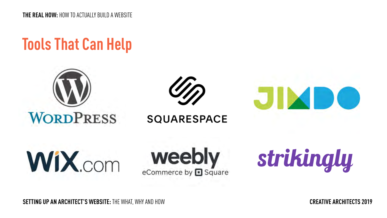**THE REAL HOW:** HOW TO ACTUALLY BUILD A WEBSITE

### **Tools That Can Help**







**SOUARESPACE** 

**WIX** com

weebly eCommerce by **D** Square

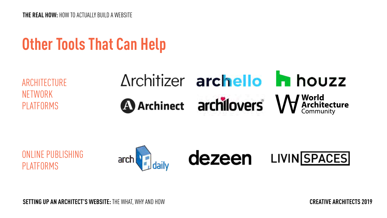**THE REAL HOW:** HOW TO ACTUALLY BUILD A WEBSITE

### **Other Tools That Can Help**

**ARCHITECTURE** NETWORK PLATFORMS

## Architizer archello **h** houzz **A** Archinect **archillovers W** Architecture

ONLINE PUBLISHING PLATFORMS

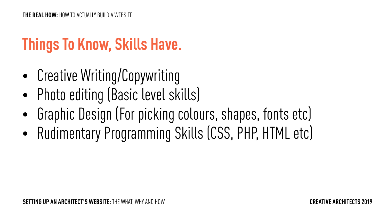## **Things To Know, Skills Have.**

- Creative Writing/Copywriting
- Photo editing (Basic level skills)
- Graphic Design (For picking colours, shapes, fonts etc)
- Rudimentary Programming Skills (CSS, PHP, HTML etc)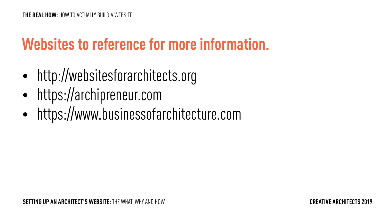## **Websites to reference for more information.**

- $\bullet$  http://websitesforarchitects.org
- https://archipreneur.com
- https://www.businessofarchitecture.com